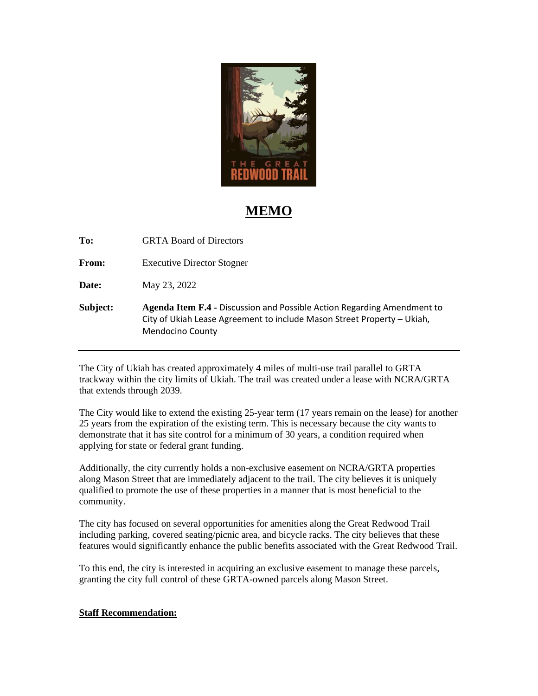

## **MEMO**

**To:** GRTA Board of Directors

From: Executive Director Stogner

**Date:** May 23, 2022

**Subject: Agenda Item F.4 -** Discussion and Possible Action Regarding Amendment to City of Ukiah Lease Agreement to include Mason Street Property – Ukiah, Mendocino County

The City of Ukiah has created approximately 4 miles of multi-use trail parallel to GRTA trackway within the city limits of Ukiah. The trail was created under a lease with NCRA/GRTA that extends through 2039.

The City would like to extend the existing 25-year term (17 years remain on the lease) for another 25 years from the expiration of the existing term. This is necessary because the city wants to demonstrate that it has site control for a minimum of 30 years, a condition required when applying for state or federal grant funding.

Additionally, the city currently holds a non-exclusive easement on NCRA/GRTA properties along Mason Street that are immediately adjacent to the trail. The city believes it is uniquely qualified to promote the use of these properties in a manner that is most beneficial to the community.

The city has focused on several opportunities for amenities along the Great Redwood Trail including parking, covered seating/picnic area, and bicycle racks. The city believes that these features would significantly enhance the public benefits associated with the Great Redwood Trail.

To this end, the city is interested in acquiring an exclusive easement to manage these parcels, granting the city full control of these GRTA-owned parcels along Mason Street.

## **Staff Recommendation:**